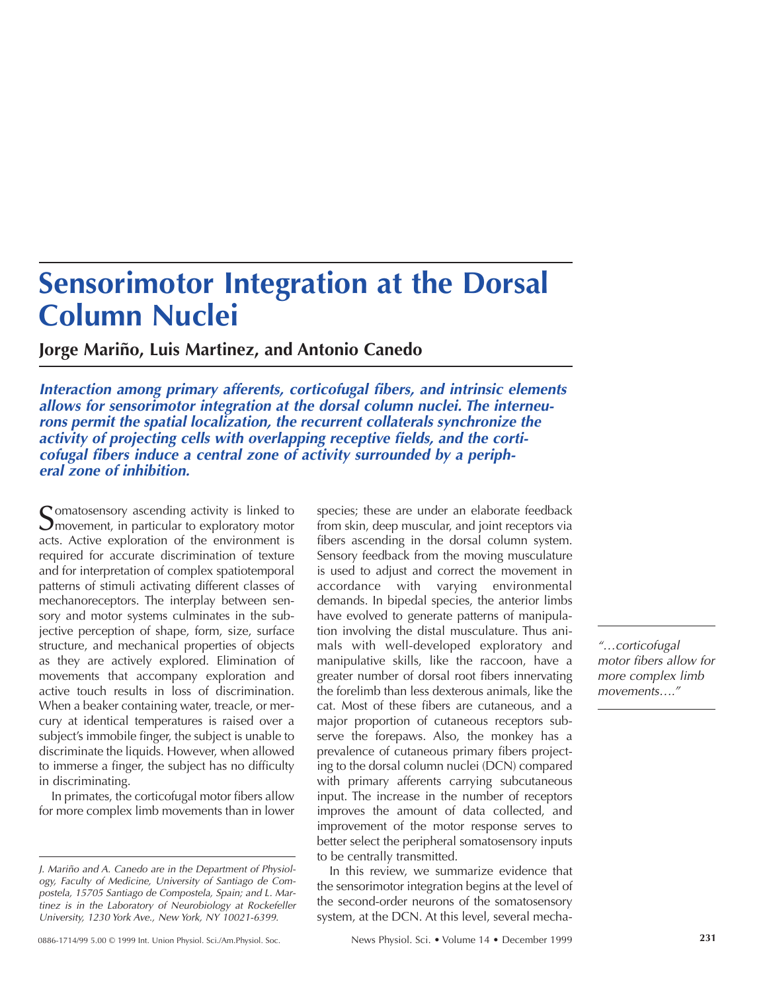# **Sensorimotor Integration at the Dorsal Column Nuclei**

**Jorge Mariño, Luis Martinez, and Antonio Canedo**

**Interaction among primary afferents, corticofugal fibers, and intrinsic elements allows for sensorimotor integration at the dorsal column nuclei. The interneurons permit the spatial localization, the recurrent collaterals synchronize the activity of projecting cells with overlapping receptive fields, and the corticofugal fibers induce a central zone of activity surrounded by a peripheral zone of inhibition.**

Comatosensory ascending activity is linked to  $\sum$  movement, in particular to exploratory motor acts. Active exploration of the environment is required for accurate discrimination of texture and for interpretation of complex spatiotemporal patterns of stimuli activating different classes of mechanoreceptors. The interplay between sensory and motor systems culminates in the subjective perception of shape, form, size, surface structure, and mechanical properties of objects as they are actively explored. Elimination of movements that accompany exploration and active touch results in loss of discrimination. When a beaker containing water, treacle, or mercury at identical temperatures is raised over a subject's immobile finger, the subject is unable to discriminate the liquids. However, when allowed to immerse a finger, the subject has no difficulty in discriminating.

In primates, the corticofugal motor fibers allow for more complex limb movements than in lower

0886-1714/99 5.00 © 1999 Int. Union Physiol. Sci./Am.Physiol. Soc. News Physiol. Sci. • Volume 14 • December 1999

species; these are under an elaborate feedback from skin, deep muscular, and joint receptors via fibers ascending in the dorsal column system. Sensory feedback from the moving musculature is used to adjust and correct the movement in accordance with varying environmental demands. In bipedal species, the anterior limbs have evolved to generate patterns of manipulation involving the distal musculature. Thus animals with well-developed exploratory and manipulative skills, like the raccoon, have a greater number of dorsal root fibers innervating the forelimb than less dexterous animals, like the cat. Most of these fibers are cutaneous, and a major proportion of cutaneous receptors subserve the forepaws. Also, the monkey has a prevalence of cutaneous primary fibers projecting to the dorsal column nuclei (DCN) compared with primary afferents carrying subcutaneous input. The increase in the number of receptors improves the amount of data collected, and improvement of the motor response serves to better select the peripheral somatosensory inputs to be centrally transmitted.

In this review, we summarize evidence that the sensorimotor integration begins at the level of the second-order neurons of the somatosensory system, at the DCN. At this level, several mecha"…corticofugal motor fibers allow for more complex limb movements…."

J. Mariño and A. Canedo are in the Department of Physiology, Faculty of Medicine, University of Santiago de Compostela, 15705 Santiago de Compostela, Spain; and L. Martinez is in the Laboratory of Neurobiology at Rockefeller University, 1230 York Ave., New York, NY 10021-6399.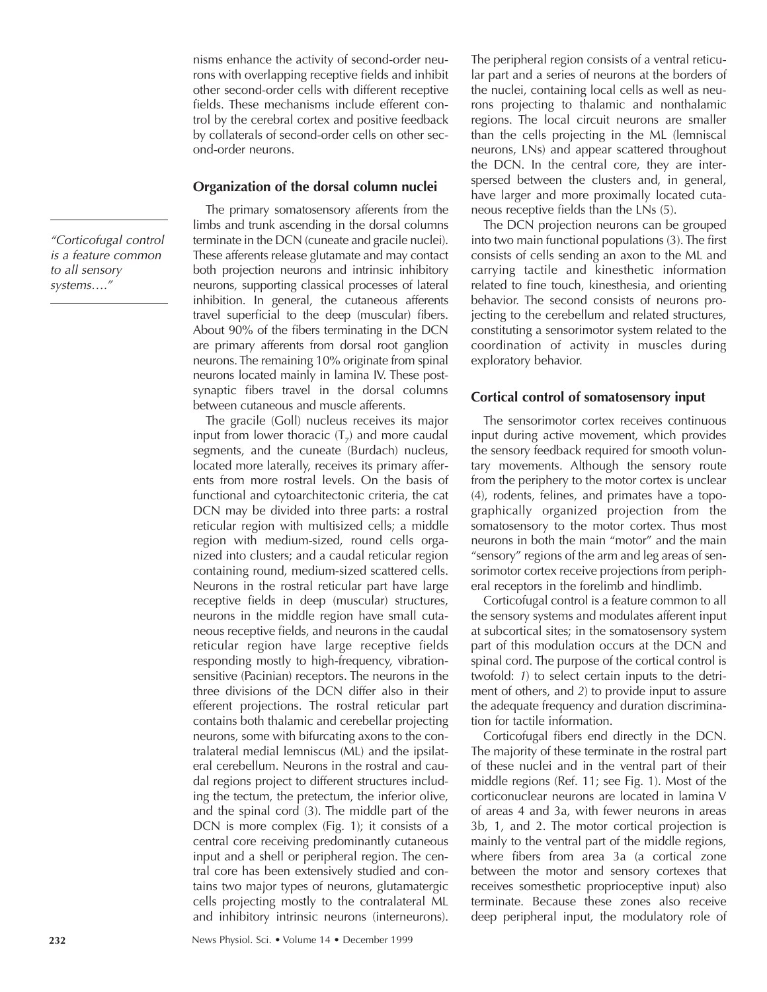nisms enhance the activity of second-order neurons with overlapping receptive fields and inhibit other second-order cells with different receptive fields. These mechanisms include efferent control by the cerebral cortex and positive feedback by collaterals of second-order cells on other second-order neurons.

#### **Organization of the dorsal column nuclei**

The primary somatosensory afferents from the limbs and trunk ascending in the dorsal columns terminate in the DCN (cuneate and gracile nuclei). These afferents release glutamate and may contact both projection neurons and intrinsic inhibitory neurons, supporting classical processes of lateral inhibition. In general, the cutaneous afferents travel superficial to the deep (muscular) fibers. About 90% of the fibers terminating in the DCN are primary afferents from dorsal root ganglion neurons. The remaining 10% originate from spinal neurons located mainly in lamina IV. These postsynaptic fibers travel in the dorsal columns between cutaneous and muscle afferents.

The gracile (Goll) nucleus receives its major input from lower thoracic  $(T<sub>z</sub>)$  and more caudal segments, and the cuneate (Burdach) nucleus, located more laterally, receives its primary afferents from more rostral levels. On the basis of functional and cytoarchitectonic criteria, the cat DCN may be divided into three parts: a rostral reticular region with multisized cells; a middle region with medium-sized, round cells organized into clusters; and a caudal reticular region containing round, medium-sized scattered cells. Neurons in the rostral reticular part have large receptive fields in deep (muscular) structures, neurons in the middle region have small cutaneous receptive fields, and neurons in the caudal reticular region have large receptive fields responding mostly to high-frequency, vibrationsensitive (Pacinian) receptors. The neurons in the three divisions of the DCN differ also in their efferent projections. The rostral reticular part contains both thalamic and cerebellar projecting neurons, some with bifurcating axons to the contralateral medial lemniscus (ML) and the ipsilateral cerebellum. Neurons in the rostral and caudal regions project to different structures including the tectum, the pretectum, the inferior olive, and the spinal cord (3). The middle part of the DCN is more complex (Fig. 1); it consists of a central core receiving predominantly cutaneous input and a shell or peripheral region. The central core has been extensively studied and contains two major types of neurons, glutamatergic cells projecting mostly to the contralateral ML and inhibitory intrinsic neurons (interneurons).

The peripheral region consists of a ventral reticular part and a series of neurons at the borders of the nuclei, containing local cells as well as neurons projecting to thalamic and nonthalamic regions. The local circuit neurons are smaller than the cells projecting in the ML (lemniscal neurons, LNs) and appear scattered throughout the DCN. In the central core, they are interspersed between the clusters and, in general, have larger and more proximally located cutaneous receptive fields than the LNs (5).

The DCN projection neurons can be grouped into two main functional populations (3). The first consists of cells sending an axon to the ML and carrying tactile and kinesthetic information related to fine touch, kinesthesia, and orienting behavior. The second consists of neurons projecting to the cerebellum and related structures, constituting a sensorimotor system related to the coordination of activity in muscles during exploratory behavior.

#### **Cortical control of somatosensory input**

The sensorimotor cortex receives continuous input during active movement, which provides the sensory feedback required for smooth voluntary movements. Although the sensory route from the periphery to the motor cortex is unclear (4), rodents, felines, and primates have a topographically organized projection from the somatosensory to the motor cortex. Thus most neurons in both the main "motor" and the main "sensory" regions of the arm and leg areas of sensorimotor cortex receive projections from peripheral receptors in the forelimb and hindlimb.

Corticofugal control is a feature common to all the sensory systems and modulates afferent input at subcortical sites; in the somatosensory system part of this modulation occurs at the DCN and spinal cord. The purpose of the cortical control is twofold: *1*) to select certain inputs to the detriment of others, and *2*) to provide input to assure the adequate frequency and duration discrimination for tactile information.

Corticofugal fibers end directly in the DCN. The majority of these terminate in the rostral part of these nuclei and in the ventral part of their middle regions (Ref. 11; see Fig. 1). Most of the corticonuclear neurons are located in lamina V of areas 4 and 3a, with fewer neurons in areas 3b, 1, and 2. The motor cortical projection is mainly to the ventral part of the middle regions, where fibers from area 3a (a cortical zone between the motor and sensory cortexes that receives somesthetic proprioceptive input) also terminate. Because these zones also receive deep peripheral input, the modulatory role of

"Corticofugal control is a feature common to all sensory systems…."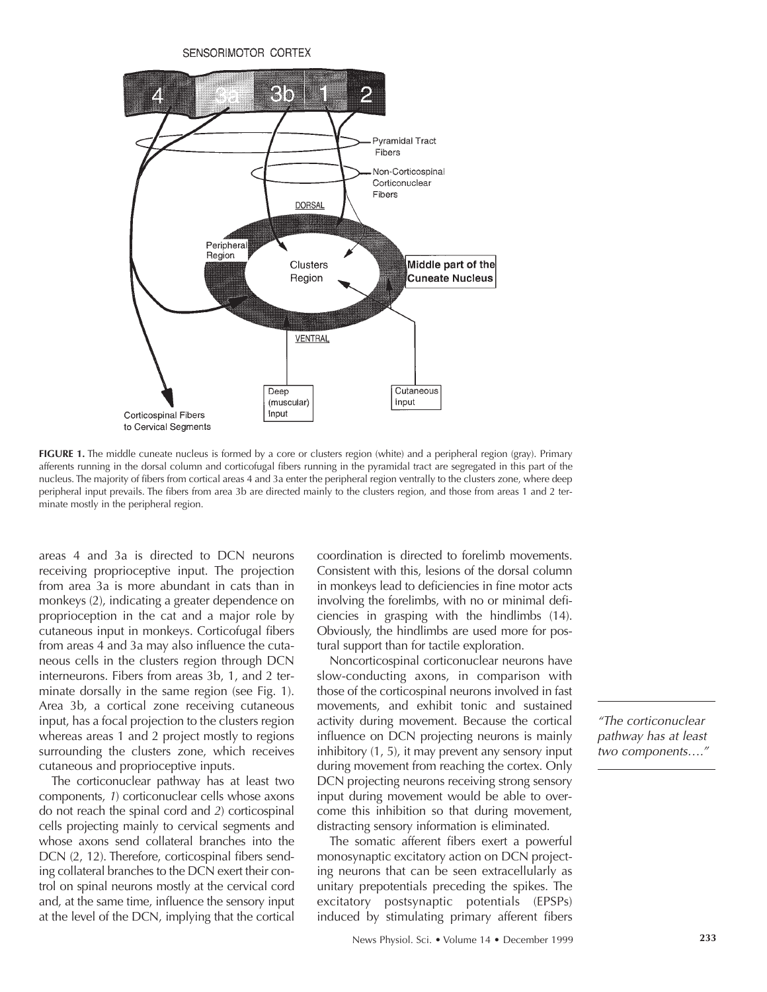

**FIGURE 1.** The middle cuneate nucleus is formed by a core or clusters region (white) and a peripheral region (gray). Primary afferents running in the dorsal column and corticofugal fibers running in the pyramidal tract are segregated in this part of the nucleus. The majority of fibers from cortical areas 4 and 3a enter the peripheral region ventrally to the clusters zone, where deep peripheral input prevails. The fibers from area 3b are directed mainly to the clusters region, and those from areas 1 and 2 terminate mostly in the peripheral region.

areas 4 and 3a is directed to DCN neurons receiving proprioceptive input. The projection from area 3a is more abundant in cats than in monkeys (2), indicating a greater dependence on proprioception in the cat and a major role by cutaneous input in monkeys. Corticofugal fibers from areas 4 and 3a may also influence the cutaneous cells in the clusters region through DCN interneurons. Fibers from areas 3b, 1, and 2 terminate dorsally in the same region (see Fig. 1). Area 3b, a cortical zone receiving cutaneous input, has a focal projection to the clusters region whereas areas 1 and 2 project mostly to regions surrounding the clusters zone, which receives cutaneous and proprioceptive inputs.

The corticonuclear pathway has at least two components, *1*) corticonuclear cells whose axons do not reach the spinal cord and *2*) corticospinal cells projecting mainly to cervical segments and whose axons send collateral branches into the DCN (2, 12). Therefore, corticospinal fibers sending collateral branches to the DCN exert their control on spinal neurons mostly at the cervical cord and, at the same time, influence the sensory input at the level of the DCN, implying that the cortical

coordination is directed to forelimb movements. Consistent with this, lesions of the dorsal column in monkeys lead to deficiencies in fine motor acts involving the forelimbs, with no or minimal deficiencies in grasping with the hindlimbs (14). Obviously, the hindlimbs are used more for postural support than for tactile exploration.

Noncorticospinal corticonuclear neurons have slow-conducting axons, in comparison with those of the corticospinal neurons involved in fast movements, and exhibit tonic and sustained activity during movement. Because the cortical influence on DCN projecting neurons is mainly inhibitory (1, 5), it may prevent any sensory input during movement from reaching the cortex. Only DCN projecting neurons receiving strong sensory input during movement would be able to overcome this inhibition so that during movement, distracting sensory information is eliminated.

The somatic afferent fibers exert a powerful monosynaptic excitatory action on DCN projecting neurons that can be seen extracellularly as unitary prepotentials preceding the spikes. The excitatory postsynaptic potentials (EPSPs) induced by stimulating primary afferent fibers

"The corticonuclear pathway has at least two components…."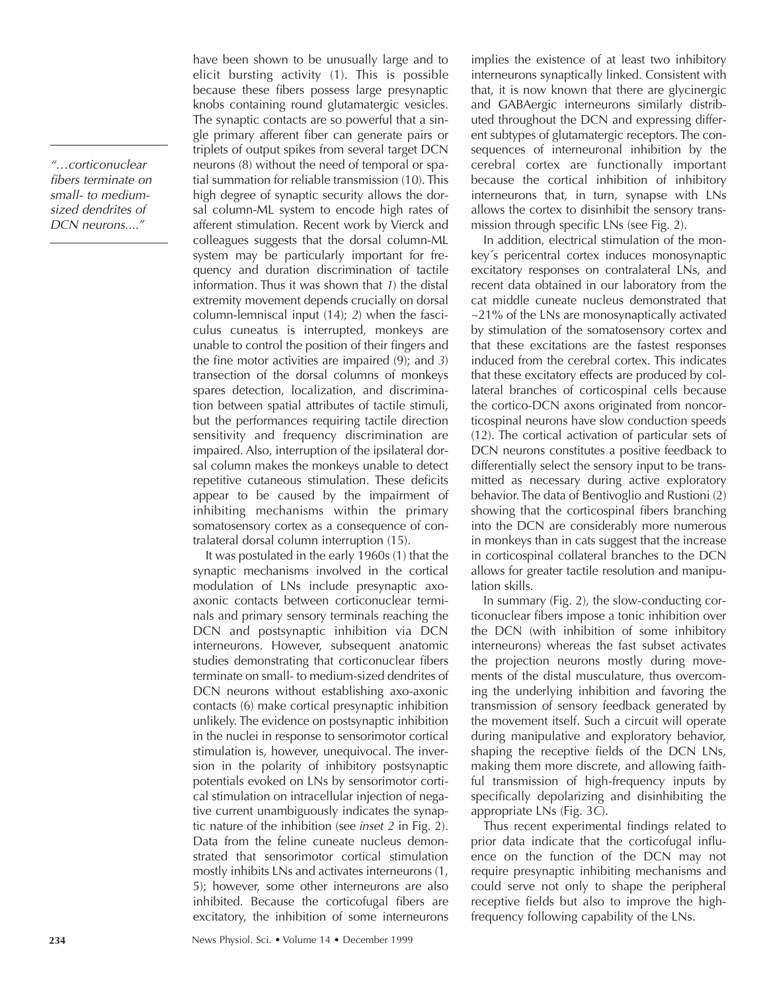"…corticonuclear fibers terminate on small- to mediumsized dendrites of DCN neurons...."

have been shown to be unusually large and to elicit bursting activity (1). This is possible because these fibers possess large presynaptic knobs containing round glutamatergic vesicles. The synaptic contacts are so powerful that a single primary afferent fiber can generate pairs or triplets of output spikes from several target DCN neurons (8) without the need of temporal or spatial summation for reliable transmission (10). This high degree of synaptic security allows the dorsal column-ML system to encode high rates of afferent stimulation. Recent work by Vierck and colleagues suggests that the dorsal column-ML system may be particularly important for frequency and duration discrimination of tactile information. Thus it was shown that *1*) the distal extremity movement depends crucially on dorsal column-lemniscal input (14); *2*) when the fasciculus cuneatus is interrupted, monkeys are unable to control the position of their fingers and the fine motor activities are impaired (9); and *3*) transection of the dorsal columns of monkeys spares detection, localization, and discrimination between spatial attributes of tactile stimuli, but the performances requiring tactile direction sensitivity and frequency discrimination are impaired. Also, interruption of the ipsilateral dorsal column makes the monkeys unable to detect repetitive cutaneous stimulation. These deficits appear to be caused by the impairment of inhibiting mechanisms within the primary somatosensory cortex as a consequence of contralateral dorsal column interruption (15).

It was postulated in the early 1960s (1) that the synaptic mechanisms involved in the cortical modulation of LNs include presynaptic axoaxonic contacts between corticonuclear terminals and primary sensory terminals reaching the DCN and postsynaptic inhibition via DCN interneurons. However, subsequent anatomic studies demonstrating that corticonuclear fibers terminate on small- to medium-sized dendrites of DCN neurons without establishing axo-axonic contacts (6) make cortical presynaptic inhibition unlikely. The evidence on postsynaptic inhibition in the nuclei in response to sensorimotor cortical stimulation is, however, unequivocal. The inversion in the polarity of inhibitory postsynaptic potentials evoked on LNs by sensorimotor cortical stimulation on intracellular injection of negative current unambiguously indicates the synaptic nature of the inhibition (see *inset 2* in Fig. 2). Data from the feline cuneate nucleus demonstrated that sensorimotor cortical stimulation mostly inhibits LNs and activates interneurons (1, 5); however, some other interneurons are also inhibited. Because the corticofugal fibers are excitatory, the inhibition of some interneurons

implies the existence of at least two inhibitory interneurons synaptically linked. Consistent with that, it is now known that there are glycinergic and GABAergic interneurons similarly distributed throughout the DCN and expressing different subtypes of glutamatergic receptors. The consequences of interneuronal inhibition by the cerebral cortex are functionally important because the cortical inhibition of inhibitory interneurons that, in turn, synapse with LNs allows the cortex to disinhibit the sensory transmission through specific LNs (see Fig. 2).

In addition, electrical stimulation of the monkey´s pericentral cortex induces monosynaptic excitatory responses on contralateral LNs, and recent data obtained in our laboratory from the cat middle cuneate nucleus demonstrated that ~21% of the LNs are monosynaptically activated by stimulation of the somatosensory cortex and that these excitations are the fastest responses induced from the cerebral cortex. This indicates that these excitatory effects are produced by collateral branches of corticospinal cells because the cortico-DCN axons originated from noncorticospinal neurons have slow conduction speeds (12). The cortical activation of particular sets of DCN neurons constitutes a positive feedback to differentially select the sensory input to be transmitted as necessary during active exploratory behavior. The data of Bentivoglio and Rustioni (2) showing that the corticospinal fibers branching into the DCN are considerably more numerous in monkeys than in cats suggest that the increase in corticospinal collateral branches to the DCN allows for greater tactile resolution and manipulation skills.

In summary (Fig. 2), the slow-conducting corticonuclear fibers impose a tonic inhibition over the DCN (with inhibition of some inhibitory interneurons) whereas the fast subset activates the projection neurons mostly during movements of the distal musculature, thus overcoming the underlying inhibition and favoring the transmission of sensory feedback generated by the movement itself. Such a circuit will operate during manipulative and exploratory behavior, shaping the receptive fields of the DCN LNs, making them more discrete, and allowing faithful transmission of high-frequency inputs by specifically depolarizing and disinhibiting the appropriate LNs (Fig. 3*C*).

Thus recent experimental findings related to prior data indicate that the corticofugal influence on the function of the DCN may not require presynaptic inhibiting mechanisms and could serve not only to shape the peripheral receptive fields but also to improve the highfrequency following capability of the LNs.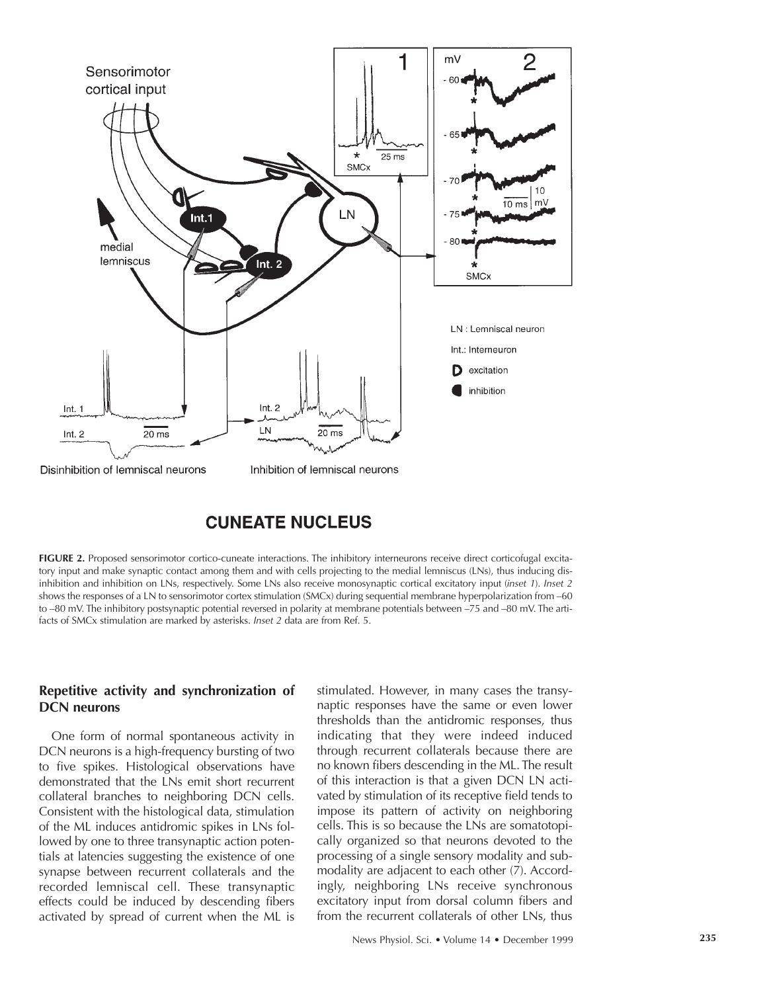

## **CUNEATE NUCLEUS**

**FIGURE 2.** Proposed sensorimotor cortico-cuneate interactions. The inhibitory interneurons receive direct corticofugal excitatory input and make synaptic contact among them and with cells projecting to the medial lemniscus (LNs), thus inducing disinhibition and inhibition on LNs, respectively. Some LNs also receive monosynaptic cortical excitatory input (*inset 1*). *Inset 2* shows the responses of a LN to sensorimotor cortex stimulation (SMCx) during sequential membrane hyperpolarization from –60 to –80 mV. The inhibitory postsynaptic potential reversed in polarity at membrane potentials between –75 and –80 mV. The artifacts of SMCx stimulation are marked by asterisks. *Inset 2* data are from Ref. 5.

### **Repetitive activity and synchronization of DCN neurons**

One form of normal spontaneous activity in DCN neurons is a high-frequency bursting of two to five spikes. Histological observations have demonstrated that the LNs emit short recurrent collateral branches to neighboring DCN cells. Consistent with the histological data, stimulation of the ML induces antidromic spikes in LNs followed by one to three transynaptic action potentials at latencies suggesting the existence of one synapse between recurrent collaterals and the recorded lemniscal cell. These transynaptic effects could be induced by descending fibers activated by spread of current when the ML is

stimulated. However, in many cases the transynaptic responses have the same or even lower thresholds than the antidromic responses, thus indicating that they were indeed induced through recurrent collaterals because there are no known fibers descending in the ML. The result of this interaction is that a given DCN LN activated by stimulation of its receptive field tends to impose its pattern of activity on neighboring cells. This is so because the LNs are somatotopically organized so that neurons devoted to the processing of a single sensory modality and submodality are adjacent to each other (7). Accordingly, neighboring LNs receive synchronous excitatory input from dorsal column fibers and from the recurrent collaterals of other LNs, thus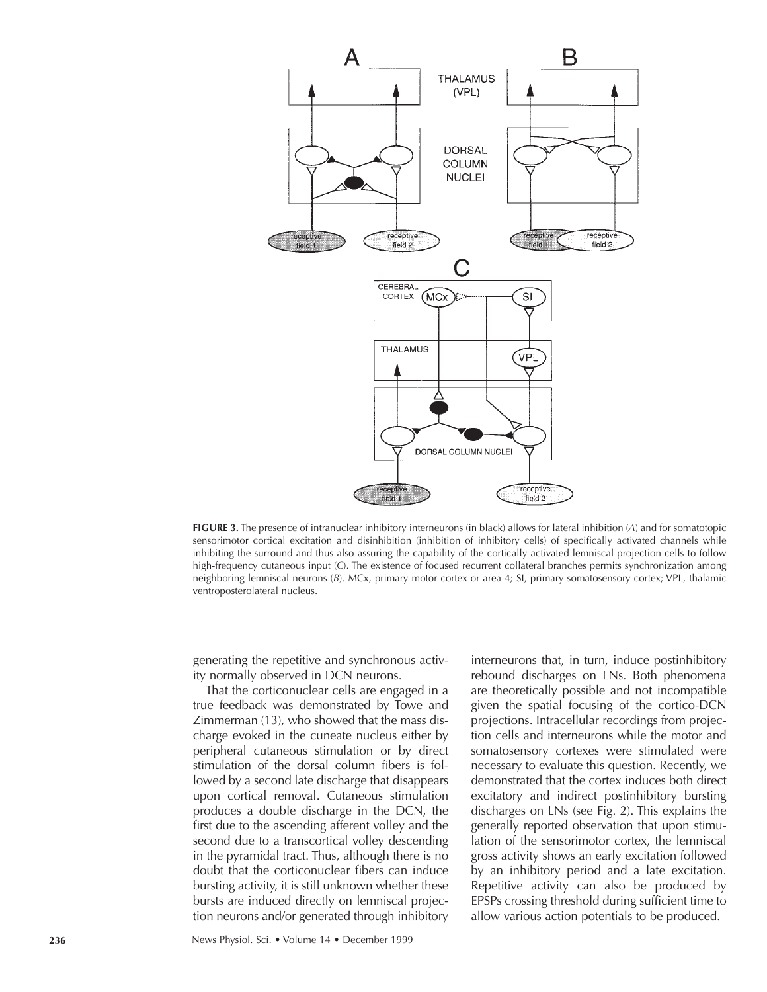

**FIGURE 3.** The presence of intranuclear inhibitory interneurons (in black) allows for lateral inhibition (*A*) and for somatotopic sensorimotor cortical excitation and disinhibition (inhibition of inhibitory cells) of specifically activated channels while inhibiting the surround and thus also assuring the capability of the cortically activated lemniscal projection cells to follow high-frequency cutaneous input (*C*). The existence of focused recurrent collateral branches permits synchronization among neighboring lemniscal neurons (*B*). MCx, primary motor cortex or area 4; SI, primary somatosensory cortex; VPL, thalamic ventroposterolateral nucleus.

generating the repetitive and synchronous activity normally observed in DCN neurons.

That the corticonuclear cells are engaged in a true feedback was demonstrated by Towe and Zimmerman (13), who showed that the mass discharge evoked in the cuneate nucleus either by peripheral cutaneous stimulation or by direct stimulation of the dorsal column fibers is followed by a second late discharge that disappears upon cortical removal. Cutaneous stimulation produces a double discharge in the DCN, the first due to the ascending afferent volley and the second due to a transcortical volley descending in the pyramidal tract. Thus, although there is no doubt that the corticonuclear fibers can induce bursting activity, it is still unknown whether these bursts are induced directly on lemniscal projection neurons and/or generated through inhibitory interneurons that, in turn, induce postinhibitory rebound discharges on LNs. Both phenomena are theoretically possible and not incompatible given the spatial focusing of the cortico-DCN projections. Intracellular recordings from projection cells and interneurons while the motor and somatosensory cortexes were stimulated were necessary to evaluate this question. Recently, we demonstrated that the cortex induces both direct excitatory and indirect postinhibitory bursting discharges on LNs (see Fig. 2). This explains the generally reported observation that upon stimulation of the sensorimotor cortex, the lemniscal gross activity shows an early excitation followed by an inhibitory period and a late excitation. Repetitive activity can also be produced by EPSPs crossing threshold during sufficient time to allow various action potentials to be produced.